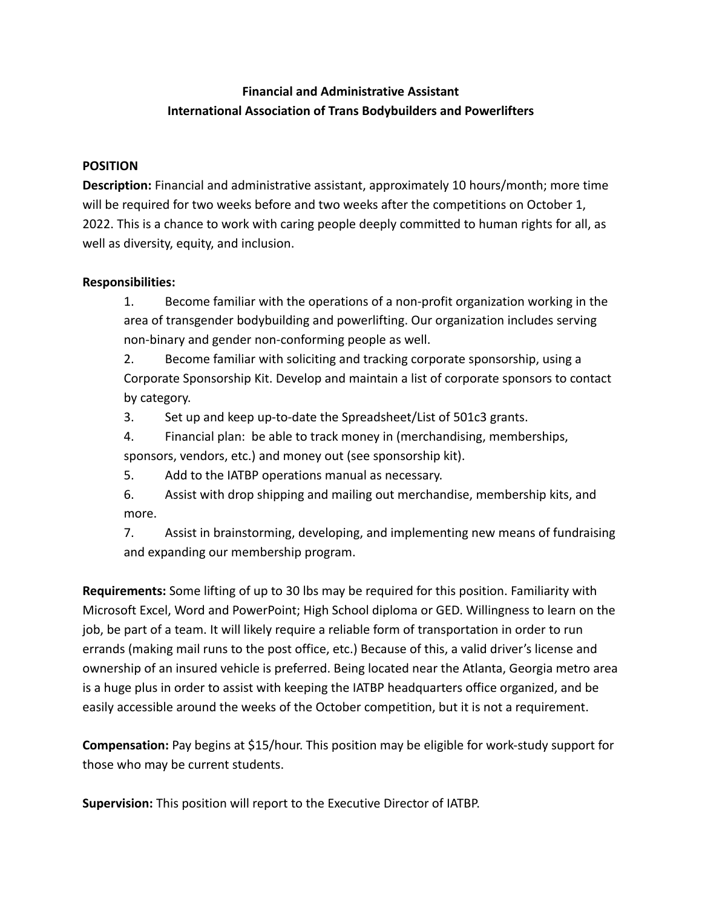## **Financial and Administrative Assistant International Association of Trans Bodybuilders and Powerlifters**

## **POSITION**

**Description:** Financial and administrative assistant, approximately 10 hours/month; more time will be required for two weeks before and two weeks after the competitions on October 1, 2022. This is a chance to work with caring people deeply committed to human rights for all, as well as diversity, equity, and inclusion.

## **Responsibilities:**

1. Become familiar with the operations of a non-profit organization working in the area of transgender bodybuilding and powerlifting. Our organization includes serving non-binary and gender non-conforming people as well.

2. Become familiar with soliciting and tracking corporate sponsorship, using a Corporate Sponsorship Kit. Develop and maintain a list of corporate sponsors to contact by category.

3. Set up and keep up-to-date the Spreadsheet/List of 501c3 grants.

4. Financial plan: be able to track money in (merchandising, memberships, sponsors, vendors, etc.) and money out (see sponsorship kit).

5. Add to the IATBP operations manual as necessary.

6. Assist with drop shipping and mailing out merchandise, membership kits, and more.

7. Assist in brainstorming, developing, and implementing new means of fundraising and expanding our membership program.

**Requirements:** Some lifting of up to 30 lbs may be required for this position. Familiarity with Microsoft Excel, Word and PowerPoint; High School diploma or GED. Willingness to learn on the job, be part of a team. It will likely require a reliable form of transportation in order to run errands (making mail runs to the post office, etc.) Because of this, a valid driver's license and ownership of an insured vehicle is preferred. Being located near the Atlanta, Georgia metro area is a huge plus in order to assist with keeping the IATBP headquarters office organized, and be easily accessible around the weeks of the October competition, but it is not a requirement.

**Compensation:** Pay begins at \$15/hour. This position may be eligible for work-study support for those who may be current students.

**Supervision:** This position will report to the Executive Director of IATBP.